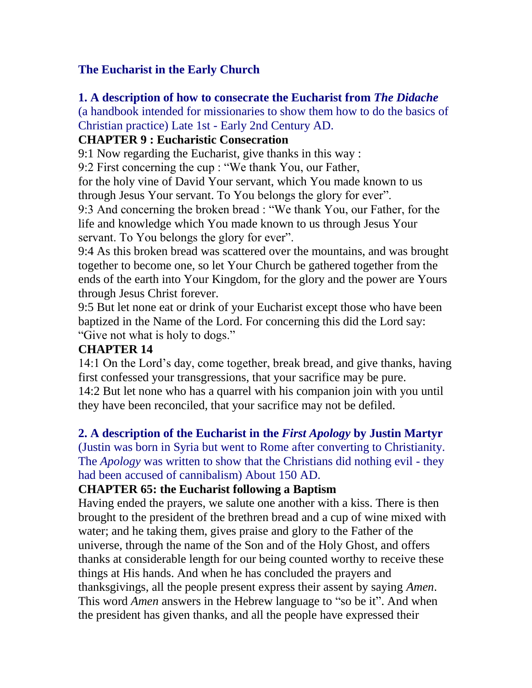# **The Eucharist in the Early Church**

# **1. A description of how to consecrate the Eucharist from** *The Didache*

(a handbook intended for missionaries to show them how to do the basics of Christian practice) Late 1st - Early 2nd Century AD.

# **CHAPTER 9 : Eucharistic Consecration**

9:1 Now regarding the Eucharist, give thanks in this way :

9:2 First concerning the cup : "We thank You, our Father,

for the holy vine of David Your servant, which You made known to us through Jesus Your servant. To You belongs the glory for ever".

9:3 And concerning the broken bread : "We thank You, our Father, for the life and knowledge which You made known to us through Jesus Your servant. To You belongs the glory for ever".

9:4 As this broken bread was scattered over the mountains, and was brought together to become one, so let Your Church be gathered together from the ends of the earth into Your Kingdom, for the glory and the power are Yours through Jesus Christ forever.

9:5 But let none eat or drink of your Eucharist except those who have been baptized in the Name of the Lord. For concerning this did the Lord say: "Give not what is holy to dogs."

# **CHAPTER 14**

14:1 On the Lord's day, come together, break bread, and give thanks, having first confessed your transgressions, that your sacrifice may be pure. 14:2 But let none who has a quarrel with his companion join with you until they have been reconciled, that your sacrifice may not be defiled.

## **2. A description of the Eucharist in the** *First Apology* **by Justin Martyr**

(Justin was born in Syria but went to Rome after converting to Christianity. The *Apology* was written to show that the Christians did nothing evil - they had been accused of cannibalism) About 150 AD.

## **CHAPTER 65: the Eucharist following a Baptism**

Having ended the prayers, we salute one another with a kiss. There is then brought to the president of the brethren bread and a cup of wine mixed with water; and he taking them, gives praise and glory to the Father of the universe, through the name of the Son and of the Holy Ghost, and offers thanks at considerable length for our being counted worthy to receive these things at His hands. And when he has concluded the prayers and thanksgivings, all the people present express their assent by saying *Amen*. This word *Amen* answers in the Hebrew language to "so be it". And when the president has given thanks, and all the people have expressed their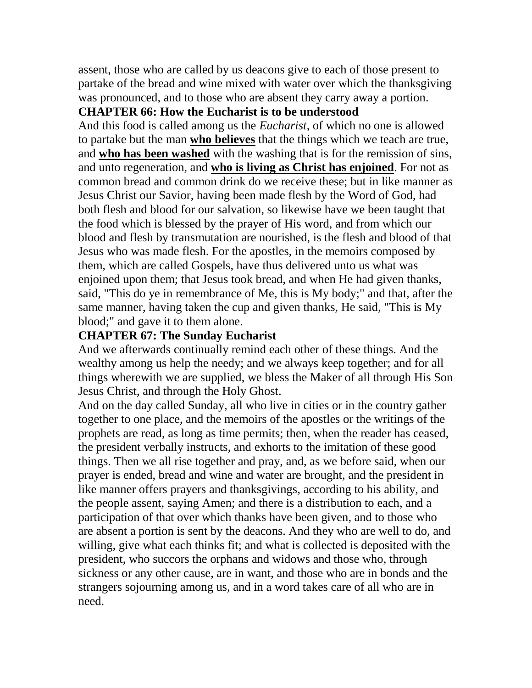assent, those who are called by us deacons give to each of those present to partake of the bread and wine mixed with water over which the thanksgiving was pronounced, and to those who are absent they carry away a portion.

### **CHAPTER 66: How the Eucharist is to be understood**

And this food is called among us the *Eucharist*, of which no one is allowed to partake but the man **who believes** that the things which we teach are true, and **who has been washed** with the washing that is for the remission of sins, and unto regeneration, and **who is living as Christ has enjoined**. For not as common bread and common drink do we receive these; but in like manner as Jesus Christ our Savior, having been made flesh by the Word of God, had both flesh and blood for our salvation, so likewise have we been taught that the food which is blessed by the prayer of His word, and from which our blood and flesh by transmutation are nourished, is the flesh and blood of that Jesus who was made flesh. For the apostles, in the memoirs composed by them, which are called Gospels, have thus delivered unto us what was enjoined upon them; that Jesus took bread, and when He had given thanks, said, "This do ye in remembrance of Me, this is My body;" and that, after the same manner, having taken the cup and given thanks, He said, "This is My blood;" and gave it to them alone.

#### **CHAPTER 67: The Sunday Eucharist**

And we afterwards continually remind each other of these things. And the wealthy among us help the needy; and we always keep together; and for all things wherewith we are supplied, we bless the Maker of all through His Son Jesus Christ, and through the Holy Ghost.

And on the day called Sunday, all who live in cities or in the country gather together to one place, and the memoirs of the apostles or the writings of the prophets are read, as long as time permits; then, when the reader has ceased, the president verbally instructs, and exhorts to the imitation of these good things. Then we all rise together and pray, and, as we before said, when our prayer is ended, bread and wine and water are brought, and the president in like manner offers prayers and thanksgivings, according to his ability, and the people assent, saying Amen; and there is a distribution to each, and a participation of that over which thanks have been given, and to those who are absent a portion is sent by the deacons. And they who are well to do, and willing, give what each thinks fit; and what is collected is deposited with the president, who succors the orphans and widows and those who, through sickness or any other cause, are in want, and those who are in bonds and the strangers sojourning among us, and in a word takes care of all who are in need.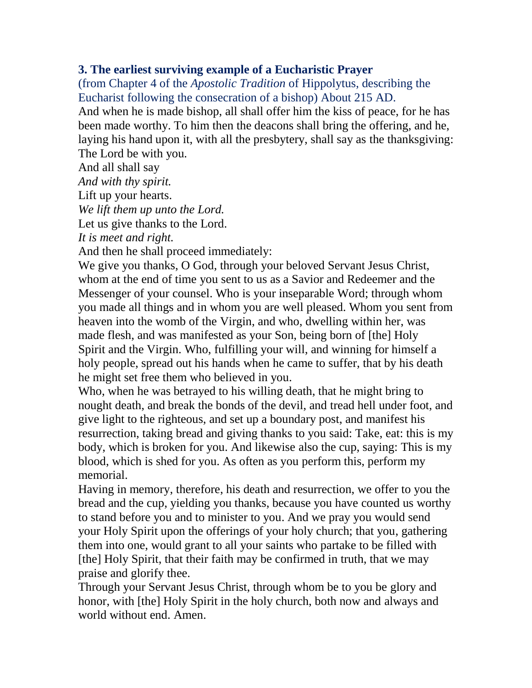### **3. The earliest surviving example of a Eucharistic Prayer**

(from Chapter 4 of the *Apostolic Tradition* of Hippolytus, describing the Eucharist following the consecration of a bishop) About 215 AD. And when he is made bishop, all shall offer him the kiss of peace, for he has been made worthy. To him then the deacons shall bring the offering, and he, laying his hand upon it, with all the presbytery, shall say as the thanksgiving: The Lord be with you.

And all shall say

*And with thy spirit.*

Lift up your hearts.

*We lift them up unto the Lord.*

Let us give thanks to the Lord.

*It is meet and right.*

And then he shall proceed immediately:

We give you thanks, O God, through your beloved Servant Jesus Christ, whom at the end of time you sent to us as a Savior and Redeemer and the Messenger of your counsel. Who is your inseparable Word; through whom you made all things and in whom you are well pleased. Whom you sent from heaven into the womb of the Virgin, and who, dwelling within her, was made flesh, and was manifested as your Son, being born of [the] Holy Spirit and the Virgin. Who, fulfilling your will, and winning for himself a holy people, spread out his hands when he came to suffer, that by his death he might set free them who believed in you.

Who, when he was betrayed to his willing death, that he might bring to nought death, and break the bonds of the devil, and tread hell under foot, and give light to the righteous, and set up a boundary post, and manifest his resurrection, taking bread and giving thanks to you said: Take, eat: this is my body, which is broken for you. And likewise also the cup, saying: This is my blood, which is shed for you. As often as you perform this, perform my memorial.

Having in memory, therefore, his death and resurrection, we offer to you the bread and the cup, yielding you thanks, because you have counted us worthy to stand before you and to minister to you. And we pray you would send your Holy Spirit upon the offerings of your holy church; that you, gathering them into one, would grant to all your saints who partake to be filled with [the] Holy Spirit, that their faith may be confirmed in truth, that we may praise and glorify thee.

Through your Servant Jesus Christ, through whom be to you be glory and honor, with [the] Holy Spirit in the holy church, both now and always and world without end. Amen.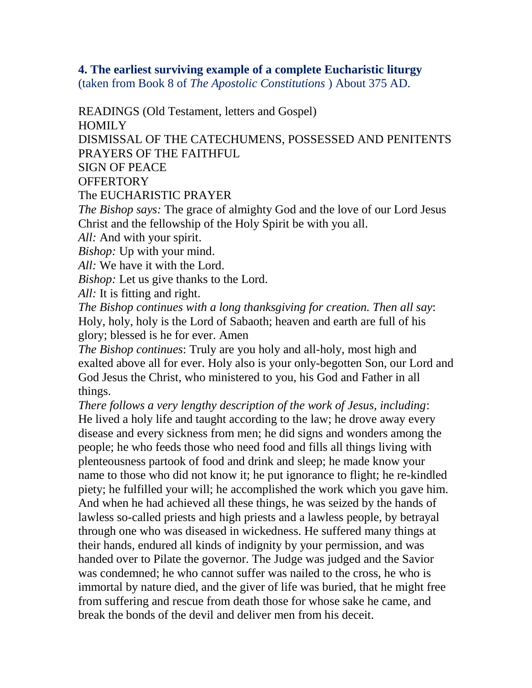## **4. The earliest surviving example of a complete Eucharistic liturgy**

(taken from Book 8 of *The Apostolic Constitutions* ) About 375 AD.

READINGS (Old Testament, letters and Gospel) HOMILY DISMISSAL OF THE CATECHUMENS, POSSESSED AND PENITENTS PRAYERS OF THE FAITHFUL SIGN OF PEACE **OFFERTORY** The EUCHARISTIC PRAYER

*The Bishop says:* The grace of almighty God and the love of our Lord Jesus Christ and the fellowship of the Holy Spirit be with you all.

*All:* And with your spirit.

*Bishop:* Up with your mind.

*All:* We have it with the Lord.

*Bishop:* Let us give thanks to the Lord*.*

*All:* It is fitting and right.

*The Bishop continues with a long thanksgiving for creation. Then all say*: Holy, holy, holy is the Lord of Sabaoth; heaven and earth are full of his glory; blessed is he for ever. Amen

*The Bishop continues*: Truly are you holy and all-holy, most high and exalted above all for ever. Holy also is your only-begotten Son, our Lord and God Jesus the Christ, who ministered to you, his God and Father in all things.

*There follows a very lengthy description of the work of Jesus, including*: He lived a holy life and taught according to the law; he drove away every disease and every sickness from men; he did signs and wonders among the people; he who feeds those who need food and fills all things living with plenteousness partook of food and drink and sleep; he made know your name to those who did not know it; he put ignorance to flight; he re-kindled piety; he fulfilled your will; he accomplished the work which you gave him. And when he had achieved all these things, he was seized by the hands of lawless so-called priests and high priests and a lawless people, by betrayal through one who was diseased in wickedness. He suffered many things at their hands, endured all kinds of indignity by your permission, and was handed over to Pilate the governor. The Judge was judged and the Savior was condemned; he who cannot suffer was nailed to the cross, he who is immortal by nature died, and the giver of life was buried, that he might free from suffering and rescue from death those for whose sake he came, and break the bonds of the devil and deliver men from his deceit.